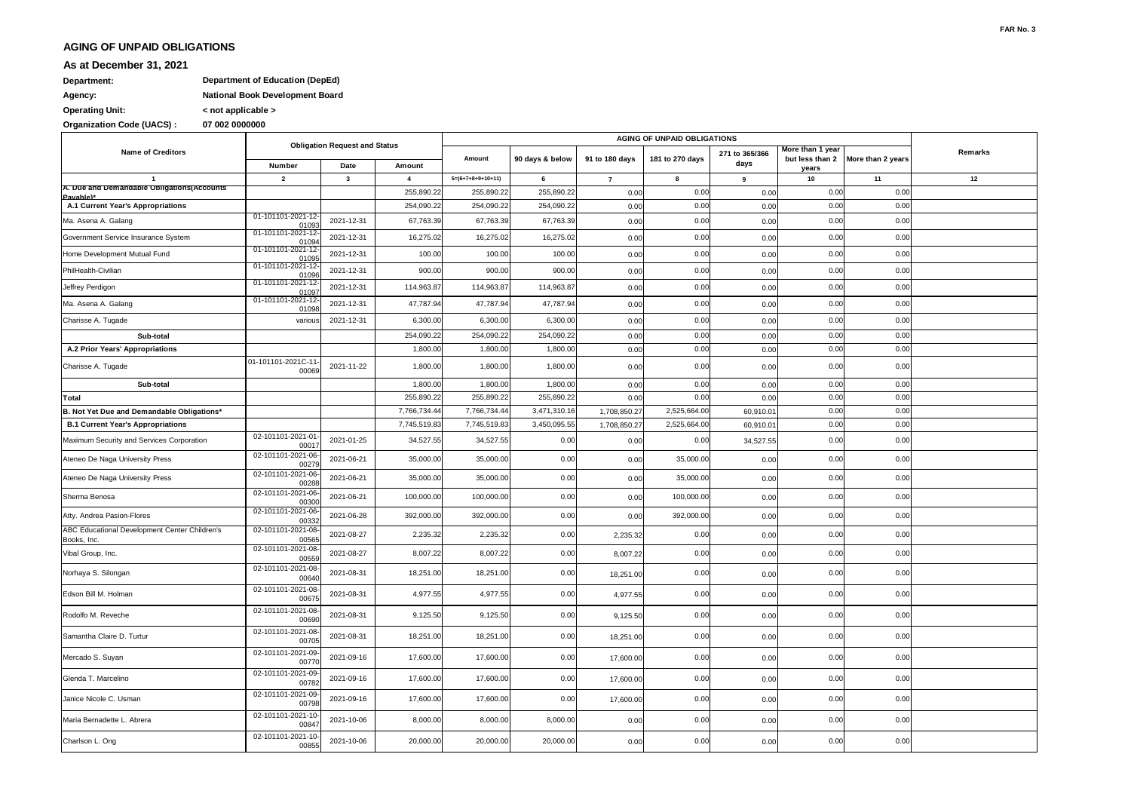## **AGING OF UNPAID OBLIGATIONS**

## **As at December 31, 2021**

## **Agency: National Book Development Board Department: Department of Education (DepEd)**

**Operating Unit: < not applicable >**

**Organization Code (UACS) : 07 002 0000000**

|                                                              | <b>Obligation Request and Status</b> |                         |                         |                     |                 |                |                 |                        |                                              |                   |         |
|--------------------------------------------------------------|--------------------------------------|-------------------------|-------------------------|---------------------|-----------------|----------------|-----------------|------------------------|----------------------------------------------|-------------------|---------|
| <b>Name of Creditors</b>                                     | Number                               | Date                    | Amount                  | Amount              | 90 days & below | 91 to 180 days | 181 to 270 days | 271 to 365/366<br>days | More than 1 year<br>but less than 2<br>years | More than 2 years | Remarks |
| $\overline{\mathbf{1}}$                                      | $\overline{2}$                       | $\overline{\mathbf{3}}$ | $\overline{\mathbf{4}}$ | $5=(6+7+8+9+10+11)$ | 6               | $\overline{7}$ | 8               | 9                      | 10                                           | 11                | 12      |
| A. Due and Demandable Obligations(Accounts<br>Pavable)*      |                                      |                         | 255,890.2               | 255,890.22          | 255,890.22      | 0.00           | 0.00            | 0.00                   | 0.00                                         | 0.00              |         |
| A.1 Current Year's Appropriations                            |                                      |                         | 254,090.2               | 254,090.22          | 254,090.22      | 0.00           | 0.00            | 0.00                   | 0.00                                         | 0.00              |         |
| Ma. Asena A. Galang                                          | 01-101101-2021-12<br>01093           | 2021-12-31              | 67,763.39               | 67,763.39           | 67,763.39       | 0.00           | 0.00            | 0.00                   | 0.00                                         | 0.00              |         |
| Government Service Insurance System                          | 01-101101-2021-12<br>01094           | 2021-12-31              | 16,275.02               | 16,275.02           | 16,275.02       | 0.00           | 0.00            | 0.00                   | 0.00                                         | 0.00              |         |
| Home Development Mutual Fund                                 | 01-101101-2021-12<br>01095           | 2021-12-31              | 100.00                  | 100.00              | 100.00          | 0.00           | 0.00            | 0.00                   | 0.00                                         | 0.00              |         |
| PhilHealth-Civilian                                          | 01-101101-2021-12<br>01096           | 2021-12-31              | 900.00                  | 900.00              | 900.00          | 0.00           | 0.00            | 0.00                   | 0.00                                         | 0.00              |         |
| Jeffrey Perdigon                                             | 01-101101-2021-12<br>01097           | 2021-12-31              | 114,963.87              | 114,963.87          | 114,963.87      | 0.00           | 0.00            | 0.00                   | 0.00                                         | 0.00              |         |
| Ma. Asena A. Galang                                          | 01-101101-2021-12<br>01098           | 2021-12-31              | 47,787.94               | 47,787.94           | 47,787.94       | 0.00           | 0.00            | 0.00                   | 0.00                                         | 0.00              |         |
| Charisse A. Tugade                                           | various                              | 2021-12-31              | 6,300.00                | 6,300.00            | 6,300.00        | 0.00           | 0.00            | 0.00                   | 0.00                                         | 0.00              |         |
| Sub-total                                                    |                                      |                         | 254,090.22              | 254,090.22          | 254,090.22      | 0.00           | 0.00            | 0.00                   | 0.00                                         | 0.00              |         |
| A.2 Prior Years' Appropriations                              |                                      |                         | 1,800.0                 | 1,800.00            | 1,800.00        | 0.00           | 0.00            | 0.00                   | 0.00                                         | 0.00              |         |
| Charisse A. Tugade                                           | 01-101101-2021C-11<br>00069          | 2021-11-22              | 1,800.00                | 1,800.00            | 1,800.00        | 0.00           | 0.00            | 0.00                   | 0.00                                         | 0.00              |         |
| Sub-total                                                    |                                      |                         | 1,800.00                | 1,800.00            | 1,800.00        | 0.00           | 0.00            | 0.00                   | 0.00                                         | 0.00              |         |
| Total                                                        |                                      |                         | 255,890.2               | 255,890.22          | 255,890.22      | 0.00           | 0.00            | 0.00                   | 0.00                                         | 0.00              |         |
| B. Not Yet Due and Demandable Obligations*                   |                                      |                         | 7,766,734.4             | 7,766,734.44        | 3,471,310.1     | 1,708,850.27   | 2,525,664.00    | 60,910.0               | 0.00                                         | 0.00              |         |
| <b>B.1 Current Year's Appropriations</b>                     |                                      |                         | 7,745,519.8             | 7,745,519.83        | 3,450,095.55    | 1,708,850.27   | 2,525,664.00    | 60,910.0               | 0.00                                         | 0.00              |         |
| Maximum Security and Services Corporation                    | 02-101101-2021-01<br>00017           | 2021-01-25              | 34,527.55               | 34,527.55           | 0.00            | 0.00           | 0.00            | 34,527.55              | 0.00                                         | 0.00              |         |
| Ateneo De Naga University Press                              | 02-101101-2021-06<br>00279           | 2021-06-21              | 35,000.00               | 35,000.00           | 0.00            | 0.00           | 35,000.00       | 0.00                   | 0.00                                         | 0.00              |         |
| Ateneo De Naga University Press                              | 02-101101-2021-06<br>00288           | 2021-06-21              | 35,000.00               | 35,000.00           | 0.00            | 0.00           | 35,000.00       | 0.00                   | 0.00                                         | 0.00              |         |
| Sherma Benosa                                                | 02-101101-2021-06<br>00300           | 2021-06-21              | 100,000.00              | 100,000.00          | 0.00            | 0.00           | 100,000.00      | 0.00                   | 0.00                                         | 0.00              |         |
| Atty. Andrea Pasion-Flores                                   | 02-101101-2021-06<br>00332           | 2021-06-28              | 392,000.00              | 392,000.00          | 0.00            | 0.00           | 392,000.00      | 0.00                   | 0.00                                         | 0.00              |         |
| ABC Educational Development Center Children's<br>Books, Inc. | 02-101101-2021-08<br>00565           | 2021-08-27              | 2,235.32                | 2,235.32            | 0.00            | 2,235.32       | 0.00            | 0.00                   | 0.00                                         | 0.00              |         |
| Vibal Group, Inc.                                            | 02-101101-2021-08<br>00559           | 2021-08-27              | 8,007.22                | 8,007.22            | 0.00            | 8,007.22       | 0.00            | 0.00                   | 0.00                                         | 0.00              |         |
| Norhaya S. Silongan                                          | 02-101101-2021-08<br>00640           | 2021-08-31              | 18,251.00               | 18,251.00           | 0.00            | 18,251.00      | 0.00            | 0.00                   | 0.00                                         | 0.00              |         |
| Edson Bill M. Holman                                         | 02-101101-2021-08<br>00675           | 2021-08-31              | 4,977.55                | 4,977.55            | 0.00            | 4,977.55       | 0.00            | 0.00                   | 0.00                                         | 0.00              |         |
| Rodolfo M. Reveche                                           | 02-101101-2021-08<br>00690           | 2021-08-31              | 9,125.50                | 9,125.50            | 0.00            | 9,125.50       | 0.00            | 0.00                   | 0.00                                         | 0.00              |         |
| Samantha Claire D. Turtur                                    | 02-101101-2021-08<br>0070            | 2021-08-31              | 18,251.00               | 18,251.00           | 0.00            | 18,251.00      | 0.00            | 0.00                   | 0.00                                         | 0.00              |         |
| Mercado S. Suyan                                             | 02-101101-2021-09<br>00770           | 2021-09-16              | 17,600.00               | 17,600.00           | 0.00            | 17,600.00      | 0.00            | 0.00                   | 0.00                                         | 0.00              |         |
| Glenda T. Marcelino                                          | 02-101101-2021-09<br>00782           | 2021-09-16              | 17,600.00               | 17,600.00           | 0.00            | 17,600.00      | 0.00            | 0.00                   | 0.00                                         | 0.00              |         |
| Janice Nicole C. Usman                                       | 02-101101-2021-09<br>00798           | 2021-09-16              | 17,600.00               | 17,600.00           | 0.00            | 17,600.00      | 0.00            | 0.00                   | 0.00                                         | 0.00              |         |
| Maria Bernadette L. Abrera                                   | 02-101101-2021-10<br>00847           | 2021-10-06              | 8,000.00                | 8,000.00            | 8,000.00        | 0.00           | 0.00            | 0.00                   | 0.00                                         | 0.00              |         |
| Charlson L. Ong                                              | 02-101101-2021-10<br>00855           | 2021-10-06              | 20,000.00               | 20,000.00           | 20,000.00       | 0.00           | 0.00            | 0.00                   | 0.00                                         | 0.00              |         |
|                                                              |                                      |                         |                         |                     |                 |                |                 |                        |                                              |                   |         |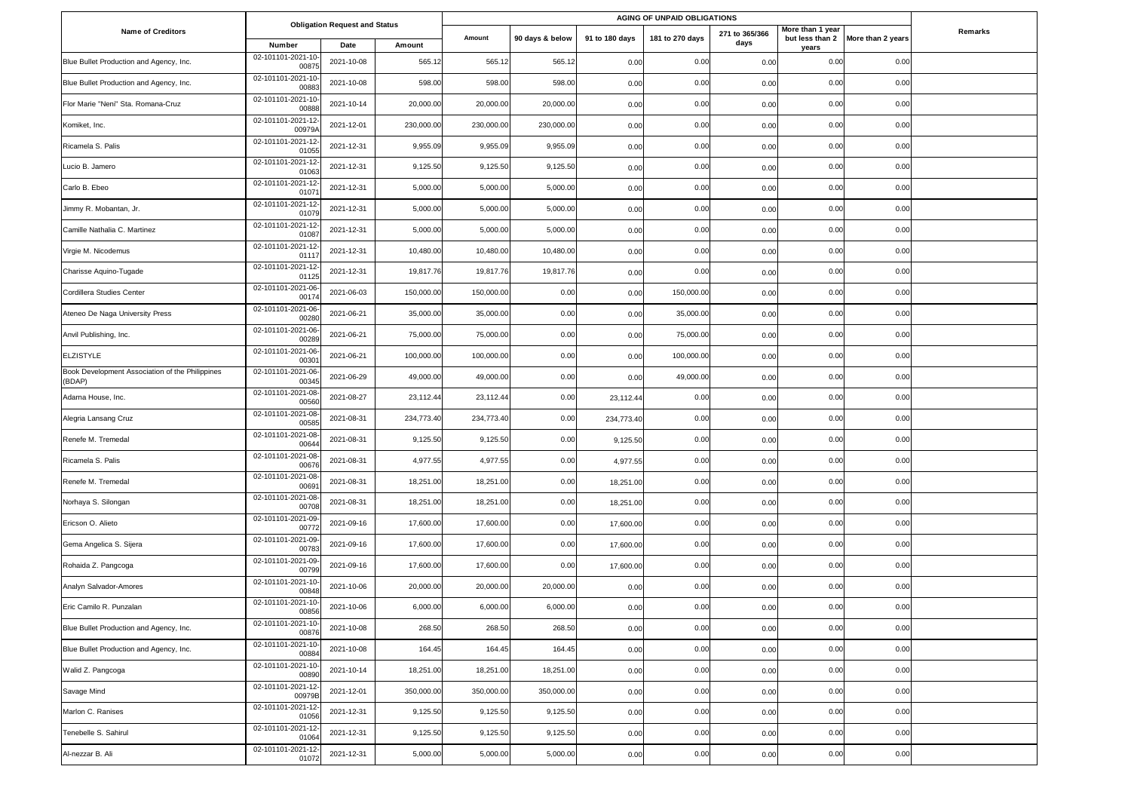|                                                           | <b>Obligation Request and Status</b> |            |            | AGING OF UNPAID OBLIGATIONS |                 |                |                 |                        |                           |                                   |         |
|-----------------------------------------------------------|--------------------------------------|------------|------------|-----------------------------|-----------------|----------------|-----------------|------------------------|---------------------------|-----------------------------------|---------|
| <b>Name of Creditors</b>                                  | Number                               | Date       | Amount     | Amount                      | 90 days & below | 91 to 180 days | 181 to 270 days | 271 to 365/366<br>days | More than 1 year<br>years | but less than 2 More than 2 years | Remarks |
| Blue Bullet Production and Agency, Inc.                   | 02-101101-2021-10<br>0087            | 2021-10-08 | 565.12     | 565.12                      | 565.12          | 0.00           | 0.00            | 0.00                   | 0.00                      | 0.00                              |         |
| Blue Bullet Production and Agency, Inc.                   | 02-101101-2021-10<br>0088            | 2021-10-08 | 598.00     | 598.00                      | 598.00          | 0.00           | 0.00            | 0.00                   | 0.00                      | 0.00                              |         |
| Flor Marie "Neni" Sta. Romana-Cruz                        | 02-101101-2021-10<br>00888           | 2021-10-14 | 20,000.00  | 20,000.00                   | 20,000.00       | 0.00           | 0.00            | 0.00                   | 0.00                      | 0.00                              |         |
| Komiket, Inc.                                             | 02-101101-2021-12<br>00979/          | 2021-12-01 | 230,000.00 | 230,000.00                  | 230,000.00      | 0.00           | 0.00            | 0.00                   | 0.00                      | 0.00                              |         |
| Ricamela S. Palis                                         | 02-101101-2021-12<br>01055           | 2021-12-31 | 9,955.09   | 9,955.09                    | 9,955.09        | 0.00           | 0.00            | 0.00                   | 0.00                      | 0.00                              |         |
| Lucio B. Jamero                                           | 02-101101-2021-12<br>0106            | 2021-12-31 | 9,125.50   | 9,125.50                    | 9,125.50        | 0.00           | 0.00            | 0.00                   | 0.00                      | 0.00                              |         |
| Carlo B. Ebeo                                             | 02-101101-2021-12<br>0107            | 2021-12-31 | 5,000.00   | 5,000.00                    | 5,000.00        | 0.00           | 0.00            | 0.00                   | 0.00                      | 0.00                              |         |
| Jimmy R. Mobantan, Jr.                                    | 02-101101-2021-12<br>01079           | 2021-12-31 | 5,000.00   | 5,000.00                    | 5,000.00        | 0.00           | 0.00            | 0.00                   | 0.00                      | 0.00                              |         |
| Camille Nathalia C. Martinez                              | 02-101101-2021-12<br>01087           | 2021-12-31 | 5,000.00   | 5,000.00                    | 5,000.00        | 0.00           | 0.00            | 0.00                   | 0.00                      | 0.00                              |         |
| Virgie M. Nicodemus                                       | 02-101101-2021-12<br>0111            | 2021-12-31 | 10,480.00  | 10,480.00                   | 10,480.00       | 0.00           | 0.00            | 0.00                   | 0.00                      | 0.00                              |         |
| Charisse Aquino-Tugade                                    | 02-101101-2021-12<br>0112            | 2021-12-31 | 19,817.76  | 19,817.76                   | 19,817.76       | 0.00           | 0.00            | 0.00                   | 0.00                      | 0.00                              |         |
| Cordillera Studies Center                                 | 02-101101-2021-06<br>0017            | 2021-06-03 | 150,000.00 | 150,000.00                  | 0.00            | 0.00           | 150,000.00      | 0.00                   | 0.00                      | 0.00                              |         |
| Ateneo De Naga University Press                           | 02-101101-2021-06<br>00280           | 2021-06-21 | 35,000.00  | 35,000.00                   | 0.00            | 0.00           | 35,000.00       | 0.00                   | 0.00                      | 0.00                              |         |
| Anvil Publishing, Inc.                                    | 02-101101-2021-06<br>0028            | 2021-06-21 | 75,000.00  | 75,000.00                   | 0.00            | 0.00           | 75,000.00       | 0.00                   | 0.00                      | 0.00                              |         |
| <b>ELZISTYLE</b>                                          | 02-101101-2021-06<br>0030            | 2021-06-21 | 100,000.00 | 100,000.00                  | 0.00            | 0.00           | 100,000.00      | 0.00                   | 0.00                      | 0.00                              |         |
| Book Development Association of the Philippines<br>(BDAP) | 02-101101-2021-06<br>0034            | 2021-06-29 | 49,000.00  | 49,000.00                   | 0.00            | 0.00           | 49,000.00       | 0.00                   | 0.00                      | 0.00                              |         |
| Adarna House, Inc.                                        | 02-101101-2021-08<br>0056            | 2021-08-27 | 23,112.44  | 23,112.44                   | 0.00            | 23,112.44      | 0.00            | 0.00                   | 0.00                      | 0.00                              |         |
| Alegria Lansang Cruz                                      | 02-101101-2021-08<br>00585           | 2021-08-31 | 234,773.40 | 234,773.40                  | 0.00            | 234,773.40     | 0.00            | 0.00                   | 0.00                      | 0.00                              |         |
| Renefe M. Tremedal                                        | 02-101101-2021-08<br>0064            | 2021-08-31 | 9,125.50   | 9,125.50                    | 0.00            | 9,125.50       | 0.00            | 0.00                   | 0.00                      | 0.00                              |         |
| Ricamela S. Palis                                         | 02-101101-2021-08<br>0067            | 2021-08-31 | 4,977.55   | 4,977.55                    | 0.00            | 4,977.55       | 0.00            | 0.00                   | 0.00                      | 0.00                              |         |
| Renefe M. Tremedal                                        | 02-101101-2021-08<br>0069            | 2021-08-31 | 18,251.00  | 18,251.00                   | 0.00            | 18,251.00      | 0.00            | 0.00                   | 0.00                      | 0.00                              |         |
| Norhaya S. Silongan                                       | 02-101101-2021-08<br>00708           | 2021-08-31 | 18,251.00  | 18,251.00                   | 0.00            | 18,251.00      | 0.00            | 0.00                   | 0.00                      | 0.00                              |         |
| Ericson O. Alieto                                         | 02-101101-2021-09<br>00772           | 2021-09-16 | 17,600.00  | 17,600.00                   | 0.00            | 17,600.00      | 0.00            | 0.00                   | 0.00                      | 0.00                              |         |
| Gema Angelica S. Sijera                                   | 02-101101-2021-09<br>0078            | 2021-09-16 | 17,600.00  | 17,600.00                   | 0.00            | 17,600.00      | 0.00            | 0.00                   | 0.00                      | 0.00                              |         |
| Rohaida Z. Pangcoga                                       | 02-101101-2021-09<br>0079            | 2021-09-16 | 17,600.00  | 17,600.00                   | 0.00            | 17,600.00      | 0.00            | 0.00                   | 0.00                      | 0.00                              |         |
| Analyn Salvador-Amores                                    | 02-101101-2021-10<br>0084            | 2021-10-06 | 20,000.00  | 20,000.00                   | 20,000.00       | 0.00           | 0.00            | 0.00                   | 0.00                      | 0.00                              |         |
| Eric Camilo R. Punzalan                                   | 02-101101-2021-10<br>00856           | 2021-10-06 | 6,000.00   | 6,000.00                    | 6,000.00        | 0.00           | 0.00            | 0.00                   | 0.00                      | 0.00                              |         |
| Blue Bullet Production and Agency, Inc.                   | 02-101101-2021-10<br>00876           | 2021-10-08 | 268.50     | 268.50                      | 268.50          | 0.00           | 0.00            | 0.00                   | 0.00                      | 0.00                              |         |
| Blue Bullet Production and Agency, Inc.                   | 02-101101-2021-10<br>00884           | 2021-10-08 | 164.45     | 164.45                      | 164.45          | 0.00           | 0.00            | 0.00                   | 0.00                      | 0.00                              |         |
| Walid Z. Pangcoga                                         | 02-101101-2021-10<br>00890           | 2021-10-14 | 18,251.00  | 18,251.00                   | 18,251.00       | 0.00           | 0.00            | 0.00                   | 0.00                      | 0.00                              |         |
| Savage Mind                                               | 02-101101-2021-12<br>00979B          | 2021-12-01 | 350,000.00 | 350,000.00                  | 350,000.00      | 0.00           | 0.00            | 0.00                   | 0.00                      | 0.00                              |         |
| Marlon C. Ranises                                         | 02-101101-2021-12-<br>01056          | 2021-12-31 | 9,125.50   | 9,125.50                    | 9,125.50        | 0.00           | 0.00            | 0.00                   | 0.00                      | 0.00                              |         |
| Tenebelle S. Sahirul                                      | 02-101101-2021-12<br>01064           | 2021-12-31 | 9,125.50   | 9,125.50                    | 9,125.50        | 0.00           | 0.00            | 0.00                   | 0.00                      | 0.00                              |         |
| Al-nezzar B. Ali                                          | 02-101101-2021-12<br>01072           | 2021-12-31 | 5,000.00   | 5,000.00                    | 5,000.00        | 0.00           | 0.00            | 0.00                   | 0.00                      | 0.00                              |         |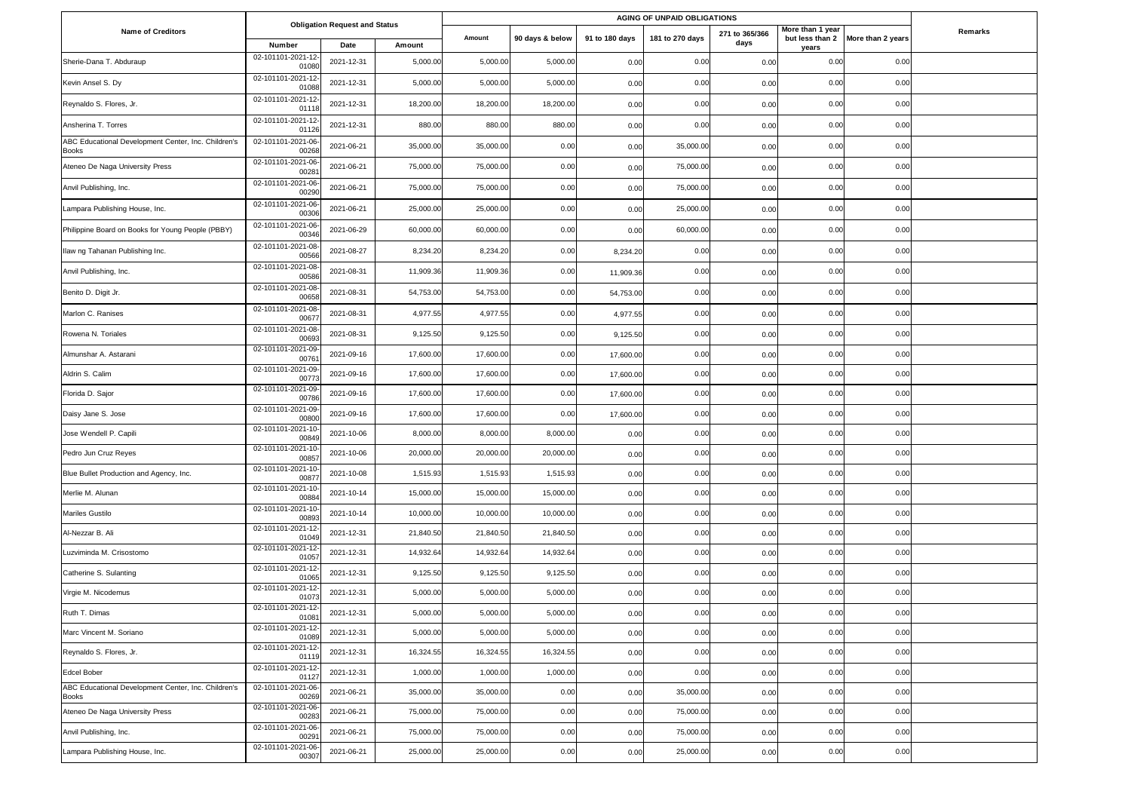|                                                                     | <b>Obligation Request and Status</b> |            |           | AGING OF UNPAID OBLIGATIONS |                 |                |                 |                        |                           |                                   |         |
|---------------------------------------------------------------------|--------------------------------------|------------|-----------|-----------------------------|-----------------|----------------|-----------------|------------------------|---------------------------|-----------------------------------|---------|
| <b>Name of Creditors</b>                                            | Number                               | Date       | Amount    | Amount                      | 90 days & below | 91 to 180 days | 181 to 270 days | 271 to 365/366<br>days | More than 1 year<br>years | but less than 2 More than 2 years | Remarks |
| Sherie-Dana T. Abduraup                                             | 02-101101-2021-12<br>0108            | 2021-12-31 | 5,000.00  | 5,000.00                    | 5,000.00        | 0.00           | 0.00            | 0.00                   | 0.00                      | 0.00                              |         |
| Kevin Ansel S. Dy                                                   | 02-101101-2021-12<br>01088           | 2021-12-31 | 5,000.00  | 5,000.00                    | 5,000.00        | 0.00           | 0.00            | 0.00                   | 0.00                      | 0.00                              |         |
| Reynaldo S. Flores, Jr.                                             | 02-101101-2021-12<br>0111            | 2021-12-31 | 18,200.00 | 18,200.00                   | 18,200.00       | 0.00           | 0.00            | 0.00                   | 0.00                      | 0.00                              |         |
| Ansherina T. Torres                                                 | 02-101101-2021-12<br>01126           | 2021-12-31 | 880.00    | 880.00                      | 880.00          | 0.00           | 0.00            | 0.00                   | 0.00                      | 0.00                              |         |
| ABC Educational Development Center, Inc. Children's<br>Books        | 02-101101-2021-06<br>00268           | 2021-06-21 | 35,000.00 | 35,000.00                   | 0.00            | 0.00           | 35,000.00       | 0.00                   | 0.00                      | 0.00                              |         |
| Ateneo De Naga University Press                                     | 02-101101-2021-06<br>0028            | 2021-06-21 | 75,000.00 | 75,000.00                   | 0.00            | 0.00           | 75,000.00       | 0.00                   | 0.00                      | 0.00                              |         |
| Anvil Publishing, Inc.                                              | 02-101101-2021-06<br>00290           | 2021-06-21 | 75,000.00 | 75,000.00                   | 0.00            | 0.00           | 75,000.00       | 0.00                   | 0.00                      | 0.00                              |         |
| Lampara Publishing House, Inc.                                      | 02-101101-2021-06<br>00306           | 2021-06-21 | 25,000.00 | 25,000.00                   | 0.00            | 0.00           | 25,000.00       | 0.00                   | 0.00                      | 0.00                              |         |
| Philippine Board on Books for Young People (PBBY)                   | 02-101101-2021-06<br>00346           | 2021-06-29 | 60,000.00 | 60,000.00                   | 0.00            | 0.00           | 60,000.00       | 0.00                   | 0.00                      | 0.00                              |         |
| Ilaw ng Tahanan Publishing Inc.                                     | 02-101101-2021-08<br>00566           | 2021-08-27 | 8,234.20  | 8,234.20                    | 0.00            | 8,234.20       | 0.00            | 0.00                   | 0.00                      | 0.00                              |         |
| Anvil Publishing, Inc.                                              | 02-101101-2021-08<br>00586           | 2021-08-31 | 11,909.36 | 11,909.36                   | 0.00            | 11,909.36      | 0.00            | 0.00                   | 0.00                      | 0.00                              |         |
| Benito D. Digit Jr.                                                 | 02-101101-2021-08<br>00658           | 2021-08-31 | 54,753.00 | 54,753.00                   | 0.00            | 54,753.00      | 0.00            | 0.00                   | 0.00                      | 0.00                              |         |
| Marlon C. Ranises                                                   | 02-101101-2021-08<br>0067            | 2021-08-31 | 4,977.55  | 4,977.55                    | 0.00            | 4,977.55       | 0.00            | 0.00                   | 0.00                      | 0.00                              |         |
| Rowena N. Toriales                                                  | 02-101101-2021-08<br>00693           | 2021-08-31 | 9,125.50  | 9,125.50                    | 0.00            | 9,125.50       | 0.00            | 0.00                   | 0.00                      | 0.00                              |         |
| Almunshar A. Astarani                                               | 02-101101-2021-09<br>0076            | 2021-09-16 | 17,600.00 | 17,600.00                   | 0.00            | 17,600.00      | 0.00            | 0.00                   | 0.00                      | 0.00                              |         |
| Aldrin S. Calim                                                     | 02-101101-2021-09<br>0077            | 2021-09-16 | 17,600.00 | 17,600.00                   | 0.00            | 17,600.00      | 0.00            | 0.00                   | 0.00                      | 0.00                              |         |
| Florida D. Sajor                                                    | 02-101101-2021-09<br>00786           | 2021-09-16 | 17,600.00 | 17,600.00                   | 0.00            | 17,600.00      | 0.00            | 0.00                   | 0.00                      | 0.00                              |         |
| Daisy Jane S. Jose                                                  | 02-101101-2021-09<br>00800           | 2021-09-16 | 17,600.00 | 17,600.00                   | 0.00            | 17,600.00      | 0.00            | 0.00                   | 0.00                      | 0.00                              |         |
| Jose Wendell P. Capili                                              | 02-101101-2021-10<br>00849           | 2021-10-06 | 8,000.00  | 8,000.00                    | 8,000.00        | 0.00           | 0.00            | 0.00                   | 0.00                      | 0.00                              |         |
| Pedro Jun Cruz Reyes                                                | 02-101101-2021-10<br>00857           | 2021-10-06 | 20,000.00 | 20,000.00                   | 20,000.00       | 0.00           | 0.00            | 0.00                   | 0.00                      | 0.00                              |         |
| Blue Bullet Production and Agency, Inc.                             | 02-101101-2021-10<br>0087            | 2021-10-08 | 1,515.93  | 1,515.93                    | 1,515.93        | 0.00           | 0.00            | 0.00                   | 0.00                      | 0.00                              |         |
| Merlie M. Alunan                                                    | 02-101101-2021-10<br>0088            | 2021-10-14 | 15,000.00 | 15,000.00                   | 15,000.00       | 0.00           | 0.00            | 0.00                   | 0.00                      | 0.00                              |         |
| Mariles Gustilo                                                     | 02-101101-2021-10<br>00893           | 2021-10-14 | 10,000.00 | 10,000.00                   | 10,000.00       | 0.00           | 0.00            | 0.00                   | 0.00                      | 0.00                              |         |
| Al-Nezzar B. Ali                                                    | 02-101101-2021-12<br>01049           | 2021-12-31 | 21,840.50 | 21,840.50                   | 21,840.50       | 0.00           | 0.00            | 0.00                   | 0.00                      | 0.00                              |         |
| Luzviminda M. Crisostomo                                            | 02-101101-2021-12<br>01057           | 2021-12-31 | 14,932.64 | 14,932.64                   | 14,932.64       | 0.00           | 0.00            | 0.00                   | 0.00                      | 0.00                              |         |
| Catherine S. Sulanting                                              | 02-101101-2021-12<br>0106            | 2021-12-31 | 9,125.50  | 9,125.50                    | 9,125.50        | 0.00           | 0.00            | 0.00                   | 0.00                      | 0.00                              |         |
| Virgie M. Nicodemus                                                 | 02-101101-2021-12<br>01073           | 2021-12-31 | 5,000.00  | 5,000.00                    | 5,000.00        | 0.00           | 0.00            | 0.00                   | 0.00                      | 0.00                              |         |
| Ruth T. Dimas                                                       | 02-101101-2021-12-<br>01081          | 2021-12-31 | 5,000.00  | 5,000.00                    | 5,000.00        | 0.00           | 0.00            | 0.00                   | 0.00                      | 0.00                              |         |
| Marc Vincent M. Soriano                                             | 02-101101-2021-12<br>01089           | 2021-12-31 | 5,000.00  | 5,000.00                    | 5,000.00        | 0.00           | 0.00            | 0.00                   | 0.00                      | 0.00                              |         |
| Reynaldo S. Flores, Jr.                                             | 02-101101-2021-12<br>01119           | 2021-12-31 | 16,324.55 | 16,324.55                   | 16,324.55       | 0.00           | 0.00            | 0.00                   | 0.00                      | 0.00                              |         |
| Edcel Bober                                                         | 02-101101-2021-12<br>01127           | 2021-12-31 | 1,000.00  | 1,000.00                    | 1,000.00        | 0.00           | 0.00            | 0.00                   | 0.00                      | 0.00                              |         |
| ABC Educational Development Center, Inc. Children's<br><b>Books</b> | 02-101101-2021-06<br>00269           | 2021-06-21 | 35,000.00 | 35,000.00                   | 0.00            | 0.00           | 35,000.00       | 0.00                   | 0.00                      | 0.00                              |         |
| Ateneo De Naga University Press                                     | 02-101101-2021-06<br>00283           | 2021-06-21 | 75,000.00 | 75,000.00                   | 0.00            | 0.00           | 75,000.00       | 0.00                   | 0.00                      | 0.00                              |         |
| Anvil Publishing, Inc.                                              | 02-101101-2021-06<br>00291           | 2021-06-21 | 75,000.00 | 75,000.00                   | 0.00            | 0.00           | 75,000.00       | 0.00                   | 0.00                      | 0.00                              |         |
| Lampara Publishing House, Inc.                                      | 02-101101-2021-06-<br>00307          | 2021-06-21 | 25,000.00 | 25,000.00                   | 0.00            | 0.00           | 25,000.00       | 0.00                   | 0.00                      | 0.00                              |         |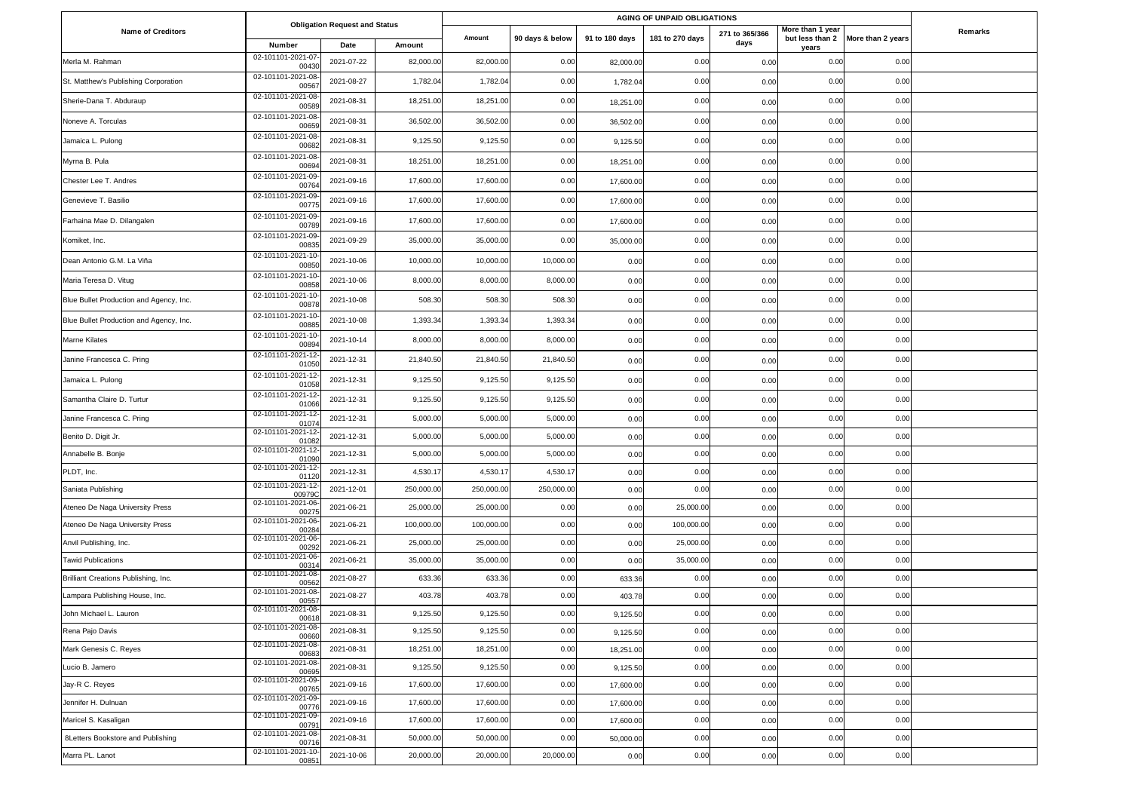|                                         | <b>Obligation Request and Status</b> |            |            | AGING OF UNPAID OBLIGATIONS |                 |                |                 |                        |                           |                                   |         |
|-----------------------------------------|--------------------------------------|------------|------------|-----------------------------|-----------------|----------------|-----------------|------------------------|---------------------------|-----------------------------------|---------|
| <b>Name of Creditors</b>                | Number                               | Date       | Amount     | Amount                      | 90 days & below | 91 to 180 days | 181 to 270 days | 271 to 365/366<br>days | More than 1 year<br>years | but less than 2 More than 2 years | Remarks |
| Merla M. Rahman                         | 02-101101-2021-07<br>0043            | 2021-07-22 | 82,000.00  | 82,000.00                   | 0.00            | 82,000.00      | 0.00            | 0.00                   | 0.00                      | 0.00                              |         |
| St. Matthew's Publishing Corporation    | 02-101101-2021-08<br>0056            | 2021-08-27 | 1,782.04   | 1,782.04                    | 0.00            | 1,782.04       | 0.00            | 0.00                   | 0.00                      | 0.00                              |         |
| Sherie-Dana T. Abduraup                 | 02-101101-2021-08<br>0058            | 2021-08-31 | 18,251.00  | 18,251.00                   | 0.00            | 18,251.00      | 0.00            | 0.00                   | 0.00                      | 0.00                              |         |
| Noneve A. Torculas                      | 02-101101-2021-08<br>00659           | 2021-08-31 | 36,502.00  | 36,502.00                   | 0.00            | 36,502.00      | 0.00            | 0.00                   | 0.00                      | 0.00                              |         |
| Jamaica L. Pulong                       | 02-101101-2021-08<br>0068            | 2021-08-31 | 9,125.50   | 9,125.50                    | 0.00            | 9,125.50       | 0.00            | 0.00                   | 0.00                      | 0.00                              |         |
| Myrna B. Pula                           | 02-101101-2021-08<br>00694           | 2021-08-31 | 18,251.00  | 18,251.00                   | 0.00            | 18,251.00      | 0.00            | 0.00                   | 0.00                      | 0.00                              |         |
| Chester Lee T. Andres                   | 02-101101-2021-09<br>0076            | 2021-09-16 | 17,600.00  | 17,600.00                   | 0.00            | 17,600.00      | 0.00            | 0.00                   | 0.00                      | 0.00                              |         |
| Genevieve T. Basilio                    | 02-101101-2021-09<br>00775           | 2021-09-16 | 17,600.00  | 17,600.00                   | 0.00            | 17,600.00      | 0.00            | 0.00                   | 0.00                      | 0.00                              |         |
| Farhaina Mae D. Dilangalen              | 02-101101-2021-09<br>0078            | 2021-09-16 | 17,600.00  | 17,600.00                   | 0.00            | 17,600.00      | 0.00            | 0.00                   | 0.00                      | 0.00                              |         |
| Komiket, Inc.                           | 02-101101-2021-09<br>0083            | 2021-09-29 | 35,000.00  | 35,000.00                   | 0.00            | 35,000.00      | 0.00            | 0.00                   | 0.00                      | 0.00                              |         |
| Dean Antonio G.M. La Viña               | 02-101101-2021-10<br>0085            | 2021-10-06 | 10,000.00  | 10,000.00                   | 10,000.00       | 0.00           | 0.00            | 0.00                   | 0.00                      | 0.00                              |         |
| Maria Teresa D. Vitug                   | 02-101101-2021-10<br>0085            | 2021-10-06 | 8,000.00   | 8,000.00                    | 8,000.00        | 0.00           | 0.00            | 0.00                   | 0.00                      | 0.00                              |         |
| Blue Bullet Production and Agency, Inc. | 02-101101-2021-10<br>0087            | 2021-10-08 | 508.30     | 508.30                      | 508.30          | 0.00           | 0.00            | 0.00                   | 0.00                      | 0.00                              |         |
| Blue Bullet Production and Agency, Inc. | 02-101101-2021-10<br>0088            | 2021-10-08 | 1,393.34   | 1,393.34                    | 1,393.34        | 0.00           | 0.00            | 0.00                   | 0.00                      | 0.00                              |         |
| Marne Kilates                           | 02-101101-2021-10<br>0089            | 2021-10-14 | 8,000.00   | 8,000.00                    | 8,000.00        | 0.00           | 0.00            | 0.00                   | 0.00                      | 0.00                              |         |
| Janine Francesca C. Pring               | 02-101101-2021-12<br>0105            | 2021-12-31 | 21,840.50  | 21,840.50                   | 21,840.50       | 0.00           | 0.00            | 0.00                   | 0.00                      | 0.00                              |         |
| Jamaica L. Pulong                       | 02-101101-2021-12<br>0105            | 2021-12-31 | 9,125.50   | 9,125.50                    | 9,125.50        | 0.00           | 0.00            | 0.00                   | 0.00                      | 0.00                              |         |
| Samantha Claire D. Turtur               | 02-101101-2021-12<br>0106            | 2021-12-31 | 9,125.50   | 9,125.50                    | 9,125.50        | 0.00           | 0.00            | 0.00                   | 0.00                      | 0.00                              |         |
| Janine Francesca C. Pring               | 02-101101-2021-12<br>0107            | 2021-12-31 | 5,000.00   | 5,000.00                    | 5,000.00        | 0.00           | 0.00            | 0.00                   | 0.00                      | 0.00                              |         |
| Benito D. Digit Jr.                     | 02-101101-2021-12<br>01082           | 2021-12-31 | 5,000.00   | 5,000.00                    | 5,000.00        | 0.00           | 0.00            | 0.00                   | 0.00                      | 0.00                              |         |
| Annabelle B. Bonje                      | 02-101101-2021-12<br>0109            | 2021-12-31 | 5,000.00   | 5,000.00                    | 5,000.00        | 0.00           | 0.00            | 0.00                   | 0.00                      | 0.00                              |         |
| PLDT, Inc.                              | 02-101101-2021-12<br>0112            | 2021-12-31 | 4,530.17   | 4,530.17                    | 4,530.17        | 0.00           | 0.00            | 0.00                   | 0.00                      | 0.00                              |         |
| Saniata Publishing                      | 02-101101-2021-12<br>009790          | 2021-12-01 | 250,000.00 | 250,000.00                  | 250,000.00      | 0.00           | 0.00            | 0.00                   | 0.00                      | 0.00                              |         |
| Ateneo De Naga University Press         | 02-101101-2021-06<br>00275           | 2021-06-21 | 25,000.00  | 25,000.00                   | 0.00            | 0.00           | 25,000.00       | 0.00                   | 0.00                      | 0.00                              |         |
| Ateneo De Naga University Press         | 02-101101-2021-06<br>0028            | 2021-06-21 | 100,000.00 | 100,000.00                  | 0.00            | 0.00           | 100,000.00      | 0.00                   | 0.00                      | 0.00                              |         |
| Anvil Publishing, Inc.                  | 02-101101-2021-06<br>0029            | 2021-06-21 | 25,000.00  | 25,000.00                   | 0.00            | 0.00           | 25,000.00       | 0.00                   | 0.00                      | 0.00                              |         |
| <b>Tawid Publications</b>               | 02-101101-2021-06<br>0031            | 2021-06-21 | 35,000.00  | 35,000.00                   | 0.00            | 0.00           | 35,000.00       | 0.00                   | 0.00                      | 0.00                              |         |
| Brilliant Creations Publishing, Inc.    | 02-101101-2021-08<br>00562           | 2021-08-27 | 633.36     | 633.36                      | 0.00            | 633.36         | 0.00            | 0.00                   | 0.00                      | 0.00                              |         |
| Lampara Publishing House, Inc.          | 02-101101-2021-08<br>00557           | 2021-08-27 | 403.78     | 403.78                      | 0.00            | 403.78         | 0.00            | 0.00                   | 0.00                      | 0.00                              |         |
| John Michael L. Lauron                  | 02-101101-2021-08<br>00618           | 2021-08-31 | 9,125.50   | 9,125.50                    | 0.00            | 9,125.50       | 0.00            | 0.00                   | 0.00                      | 0.00                              |         |
| Rena Pajo Davis                         | 02-101101-2021-08<br>00660           | 2021-08-31 | 9,125.50   | 9,125.50                    | 0.00            | 9,125.50       | 0.00            | 0.00                   | 0.00                      | 0.00                              |         |
| Mark Genesis C. Reyes                   | 02-101101-2021-08-<br>00683          | 2021-08-31 | 18,251.00  | 18,251.00                   | 0.00            | 18,251.00      | 0.00            | 0.00                   | 0.00                      | 0.00                              |         |
| Lucio B. Jamero                         | 02-101101-2021-08-<br>00695          | 2021-08-31 | 9,125.50   | 9,125.50                    | 0.00            | 9,125.50       | 0.00            | 0.00                   | 0.00                      | 0.00                              |         |
| Jay-R C. Reyes                          | 02-101101-2021-09<br>00765           | 2021-09-16 | 17,600.00  | 17,600.00                   | 0.00            | 17,600.00      | 0.00            | 0.00                   | 0.00                      | 0.00                              |         |
| Jennifer H. Dulnuan                     | 02-101101-2021-09<br>00776           | 2021-09-16 | 17,600.00  | 17,600.00                   | 0.00            | 17,600.00      | 0.00            | 0.00                   | 0.00                      | 0.00                              |         |
| Maricel S. Kasaligan                    | 02-101101-2021-09<br>0079            | 2021-09-16 | 17,600.00  | 17,600.00                   | 0.00            | 17,600.00      | 0.00            | 0.00                   | 0.00                      | 0.00                              |         |
| 8Letters Bookstore and Publishing       | 02-101101-2021-08<br>0071            | 2021-08-31 | 50,000.00  | 50,000.00                   | 0.00            | 50,000.00      | 0.00            | 0.00                   | 0.00                      | 0.00                              |         |
| Marra PL. Lanot                         | 02-101101-2021-10-<br>00851          | 2021-10-06 | 20,000.00  | 20,000.00                   | 20,000.00       | 0.00           | 0.00            | 0.00                   | 0.00                      | 0.00                              |         |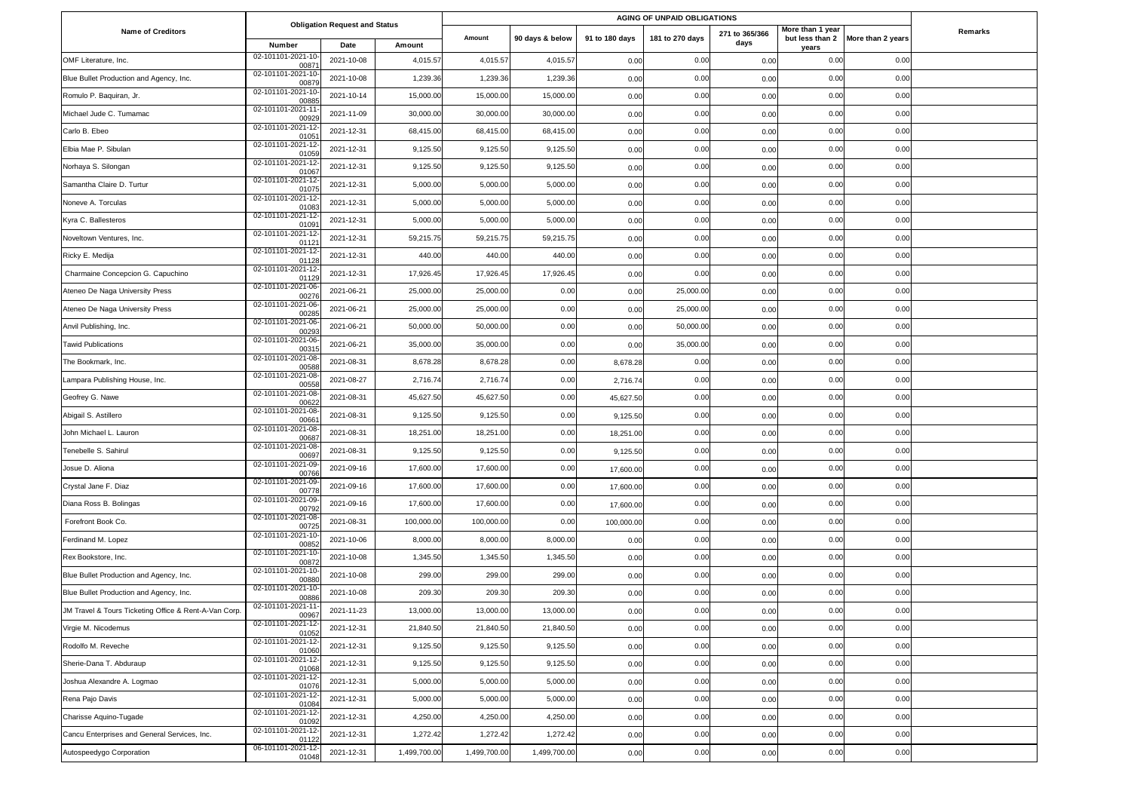|                                                       |                             |                                              | AGING OF UNPAID OBLIGATIONS |              |                 |                |                 |                        |                           |                                   |         |
|-------------------------------------------------------|-----------------------------|----------------------------------------------|-----------------------------|--------------|-----------------|----------------|-----------------|------------------------|---------------------------|-----------------------------------|---------|
| <b>Name of Creditors</b>                              | Number                      | <b>Obligation Request and Status</b><br>Date | Amount                      | Amount       | 90 days & below | 91 to 180 days | 181 to 270 days | 271 to 365/366<br>days | More than 1 year<br>years | but less than 2 More than 2 years | Remarks |
| OMF Literature, Inc.                                  | 02-101101-2021-10<br>0087   | 2021-10-08                                   | 4,015.57                    | 4,015.57     | 4,015.57        | 0.00           | 0.00            | 0.00                   | 0.00                      | 0.00                              |         |
| Blue Bullet Production and Agency, Inc.               | 02-101101-2021-10<br>00879  | 2021-10-08                                   | 1,239.36                    | 1,239.36     | 1,239.36        | 0.00           | 0.00            | 0.00                   | 0.00                      | 0.00                              |         |
| Romulo P. Baquiran, Jr.                               | 02-101101-2021-10<br>0088   | 2021-10-14                                   | 15,000.00                   | 15,000.00    | 15,000.00       | 0.00           | 0.00            | 0.00                   | 0.00                      | 0.00                              |         |
| Michael Jude C. Tumamac                               | 02-101101-2021-11<br>0092   | 2021-11-09                                   | 30,000.00                   | 30,000.00    | 30,000.00       | 0.00           | 0.00            | 0.00                   | 0.00                      | 0.00                              |         |
| Carlo B. Ebeo                                         | 02-101101-2021-12<br>0105   | 2021-12-31                                   | 68,415.00                   | 68,415.00    | 68,415.00       | 0.00           | 0.00            | 0.00                   | 0.00                      | 0.00                              |         |
| Elbia Mae P. Sibulan                                  | 02-101101-2021-12<br>0105   | 2021-12-31                                   | 9,125.50                    | 9,125.50     | 9,125.50        | 0.00           | 0.00            | 0.00                   | 0.00                      | 0.00                              |         |
| Norhaya S. Silongan                                   | 02-101101-2021-12<br>01067  | 2021-12-31                                   | 9,125.50                    | 9,125.50     | 9,125.50        | 0.00           | 0.00            | 0.00                   | 0.00                      | 0.00                              |         |
| Samantha Claire D. Turtur                             | 02-101101-2021-12<br>0107   | 2021-12-31                                   | 5,000.00                    | 5,000.00     | 5,000.00        | 0.00           | 0.00            | 0.00                   | 0.00                      | 0.00                              |         |
| Noneve A. Torculas                                    | 02-101101-2021-12<br>0108   | 2021-12-31                                   | 5,000.00                    | 5,000.00     | 5,000.00        | 0.00           | 0.00            | 0.00                   | 0.00                      | 0.00                              |         |
| Kyra C. Ballesteros                                   | 02-101101-2021-12<br>0109   | 2021-12-31                                   | 5,000.00                    | 5,000.00     | 5,000.00        | 0.00           | 0.00            | 0.00                   | 0.00                      | 0.00                              |         |
| Noveltown Ventures, Inc.                              | 02-101101-2021-12<br>0112   | 2021-12-31                                   | 59,215.75                   | 59,215.75    | 59,215.75       | 0.00           | 0.00            | 0.00                   | 0.00                      | 0.00                              |         |
| Ricky E. Medija                                       | 02-101101-2021-12<br>01128  | 2021-12-31                                   | 440.00                      | 440.00       | 440.00          | 0.00           | 0.00            | 0.00                   | 0.00                      | 0.00                              |         |
| Charmaine Concepcion G. Capuchino                     | 02-101101-2021-12<br>01129  | 2021-12-31                                   | 17,926.45                   | 17,926.45    | 17,926.45       | 0.00           | 0.00            | 0.00                   | 0.00                      | 0.00                              |         |
| Ateneo De Naga University Press                       | 02-101101-2021-06<br>0027   | 2021-06-21                                   | 25,000.00                   | 25,000.00    | 0.00            | 0.00           | 25,000.00       | 0.00                   | 0.00                      | 0.00                              |         |
| Ateneo De Naga University Press                       | 02-101101-2021-06<br>0028   | 2021-06-21                                   | 25,000.00                   | 25,000.00    | 0.00            | 0.00           | 25,000.00       | 0.00                   | 0.00                      | 0.00                              |         |
| Anvil Publishing, Inc.                                | 02-101101-2021-06<br>0029   | 2021-06-21                                   | 50,000.00                   | 50,000.00    | 0.00            | 0.00           | 50,000.00       | 0.00                   | 0.00                      | 0.00                              |         |
| <b>Tawid Publications</b>                             | 02-101101-2021-06<br>0031   | 2021-06-21                                   | 35,000.00                   | 35,000.00    | 0.00            | 0.00           | 35,000.00       | 0.00                   | 0.00                      | 0.00                              |         |
| The Bookmark, Inc.                                    | 02-101101-2021-08<br>0058   | 2021-08-31                                   | 8,678.28                    | 8,678.28     | 0.00            | 8,678.28       | 0.00            | 0.00                   | 0.00                      | 0.00                              |         |
| Lampara Publishing House, Inc.                        | 02-101101-2021-08<br>0055   | 2021-08-27                                   | 2,716.74                    | 2,716.74     | 0.00            | 2,716.74       | 0.00            | 0.00                   | 0.00                      | 0.00                              |         |
| Geofrey G. Nawe                                       | 02-101101-2021-08<br>0062   | 2021-08-31                                   | 45,627.50                   | 45,627.50    | 0.00            | 45,627.50      | 0.00            | 0.00                   | 0.00                      | 0.00                              |         |
| Abigail S. Astillero                                  | 02-101101-2021-08<br>0066   | 2021-08-31                                   | 9,125.50                    | 9,125.50     | 0.00            | 9,125.50       | 0.00            | 0.00                   | 0.00                      | 0.00                              |         |
| John Michael L. Lauron                                | 02-101101-2021-08<br>00687  | 2021-08-31                                   | 18,251.00                   | 18,251.00    | 0.00            | 18,251.00      | 0.00            | 0.00                   | 0.00                      | 0.00                              |         |
| Tenebelle S. Sahirul                                  | 02-101101-2021-08<br>00697  | 2021-08-31                                   | 9,125.50                    | 9,125.50     | 0.00            | 9,125.50       | 0.00            | 0.00                   | 0.00                      | 0.00                              |         |
| Josue D. Aliona                                       | 02-101101-2021-09<br>0076   | 2021-09-16                                   | 17,600.00                   | 17,600.00    | 0.00            | 17,600.00      | 0.00            | 0.00                   | 0.00                      | 0.00                              |         |
| Crystal Jane F. Diaz                                  | 02-101101-2021-09<br>0077   | 2021-09-16                                   | 17,600.00                   | 17,600.00    | 0.00            | 17,600.00      | 0.00            | 0.00                   | 0.00                      | 0.00                              |         |
| Diana Ross B. Bolingas                                | 02-101101-2021-09<br>00792  | 2021-09-16                                   | 17,600.00                   | 17,600.00    | 0.00            | 17,600.00      | 0.00            | 0.00                   | 0.00                      | 0.00                              |         |
| Forefront Book Co.                                    | 02-101101-2021-08<br>00725  | 2021-08-31                                   | 100,000.00                  | 100,000.00   | 0.00            | 100,000.00     | 0.00            | 0.00                   | 0.00                      | 0.00                              |         |
| Ferdinand M. Lopez                                    | 02-101101-2021-10<br>00852  | 2021-10-06                                   | 8,000.00                    | 8,000.00     | 8,000.00        | 0.00           | 0.00            | 0.00                   | 0.00                      | 0.00                              |         |
| Rex Bookstore, Inc.                                   | 02-101101-2021-10<br>0087   | 2021-10-08                                   | 1,345.50                    | 1,345.50     | 1,345.50        | 0.00           | 0.00            | 0.00                   | 0.00                      | 0.00                              |         |
| Blue Bullet Production and Agency, Inc.               | 02-101101-2021-10<br>0088   | 2021-10-08                                   | 299.00                      | 299.00       | 299.00          | 0.00           | 0.00            | 0.00                   | 0.00                      | 0.00                              |         |
| Blue Bullet Production and Agency, Inc.               | 02-101101-2021-10<br>0088   | 2021-10-08                                   | 209.30                      | 209.30       | 209.30          | 0.00           | 0.00            | 0.00                   | 0.00                      | 0.00                              |         |
| JM Travel & Tours Ticketing Office & Rent-A-Van Corp. | 02-101101-2021-11<br>00967  | 2021-11-23                                   | 13,000.00                   | 13,000.00    | 13,000.00       | 0.00           | 0.00            | 0.00                   | 0.00                      | 0.00                              |         |
| Virgie M. Nicodemus                                   | 02-101101-2021-12<br>01052  | 2021-12-31                                   | 21,840.50                   | 21,840.50    | 21,840.50       | 0.00           | 0.00            | 0.00                   | 0.00                      | 0.00                              |         |
| Rodolfo M. Reveche                                    | 02-101101-2021-12<br>0106   | 2021-12-31                                   | 9,125.50                    | 9,125.50     | 9,125.50        | 0.00           | 0.00            | 0.00                   | 0.00                      | 0.00                              |         |
| Sherie-Dana T. Abduraup                               | 02-101101-2021-12<br>0106   | 2021-12-31                                   | 9,125.50                    | 9,125.50     | 9,125.50        | 0.00           | 0.00            | 0.00                   | 0.00                      | 0.00                              |         |
| Joshua Alexandre A. Logmao                            | 02-101101-2021-12<br>01076  | 2021-12-31                                   | 5,000.00                    | 5,000.00     | 5,000.00        | 0.00           | 0.00            | 0.00                   | 0.00                      | 0.00                              |         |
| Rena Pajo Davis                                       | 02-101101-2021-12<br>01084  | 2021-12-31                                   | 5,000.00                    | 5,000.00     | 5,000.00        | 0.00           | 0.00            | 0.00                   | 0.00                      | 0.00                              |         |
| Charisse Aquino-Tugade                                | 02-101101-2021-12-<br>01092 | 2021-12-31                                   | 4,250.00                    | 4,250.00     | 4,250.00        | 0.00           | 0.00            | 0.00                   | 0.00                      | 0.00                              |         |
| Cancu Enterprises and General Services, Inc.          | 02-101101-2021-12<br>01122  | 2021-12-31                                   | 1,272.42                    | 1,272.42     | 1,272.42        | 0.00           | 0.00            | 0.00                   | 0.00                      | 0.00                              |         |
| Autospeedygo Corporation                              | 06-101101-2021-12<br>01048  | 2021-12-31                                   | 1,499,700.00                | 1,499,700.00 | 1,499,700.00    | 0.00           | 0.00            | 0.00                   | 0.00                      | 0.00                              |         |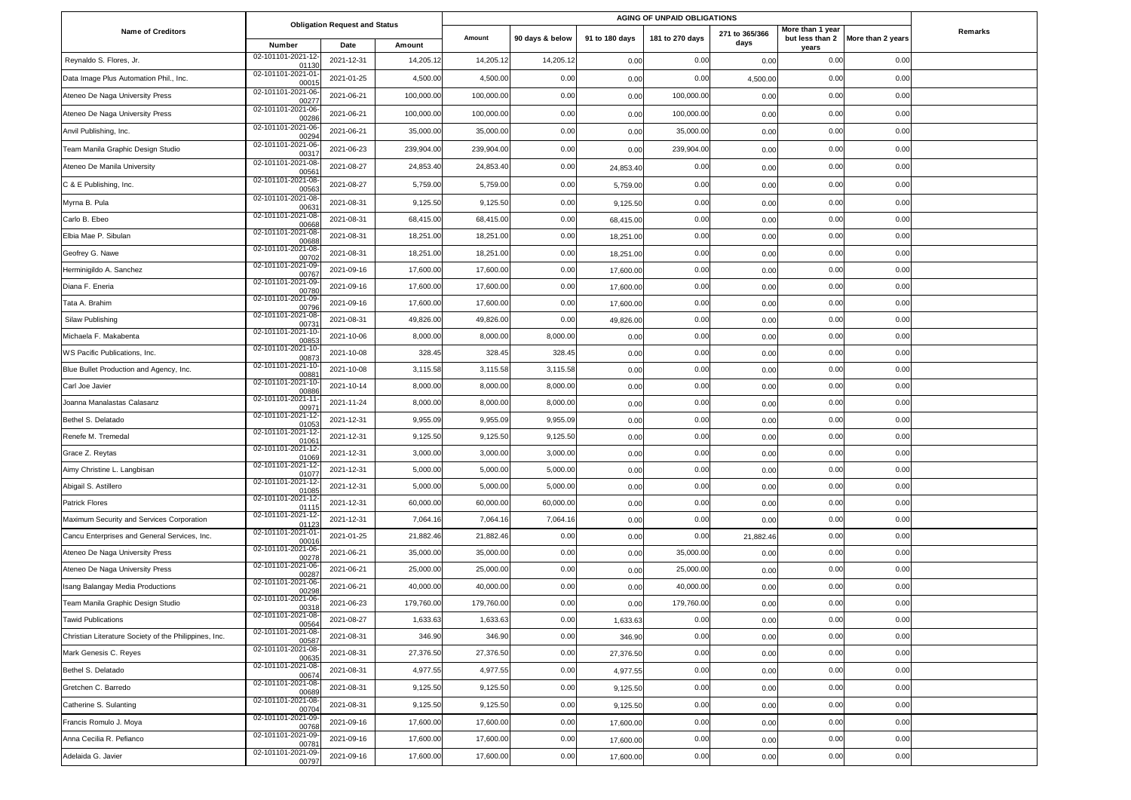|                                                       |                             |                                              |            |            |                 |                | AGING OF UNPAID OBLIGATIONS |                        |                           |                                   |         |  |
|-------------------------------------------------------|-----------------------------|----------------------------------------------|------------|------------|-----------------|----------------|-----------------------------|------------------------|---------------------------|-----------------------------------|---------|--|
| <b>Name of Creditors</b>                              | Number                      | <b>Obligation Request and Status</b><br>Date | Amount     | Amount     | 90 days & below | 91 to 180 days | 181 to 270 days             | 271 to 365/366<br>days | More than 1 year<br>years | but less than 2 More than 2 years | Remarks |  |
| Reynaldo S. Flores, Jr.                               | 02-101101-2021-12<br>01130  | 2021-12-31                                   | 14,205.1   | 14,205.12  | 14,205.1        | 0.00           | 0.00                        | 0.00                   | 0.00                      | 0.00                              |         |  |
| Data Image Plus Automation Phil., Inc.                | 02-101101-2021-01<br>00015  | 2021-01-25                                   | 4,500.00   | 4,500.00   | 0.00            | 0.00           | 0.00                        | 4,500.00               | 0.00                      | 0.00                              |         |  |
| Ateneo De Naga University Press                       | 02-101101-2021-06<br>00277  | 2021-06-21                                   | 100,000.00 | 100,000.00 | 0.00            | 0.00           | 100,000.00                  | 0.00                   | 0.00                      | 0.00                              |         |  |
| Ateneo De Naga University Press                       | 02-101101-2021-06<br>00286  | 2021-06-21                                   | 100,000.00 | 100,000.00 | 0.00            | 0.00           | 100,000.00                  | 0.00                   | 0.00                      | 0.00                              |         |  |
| Anvil Publishing, Inc.                                | 02-101101-2021-06<br>00294  | 2021-06-21                                   | 35,000.00  | 35,000.00  | 0.00            | 0.00           | 35,000.00                   | 0.00                   | 0.00                      | 0.00                              |         |  |
| Team Manila Graphic Design Studio                     | 02-101101-2021-06<br>0031   | 2021-06-23                                   | 239,904.00 | 239,904.00 | 0.00            | 0.00           | 239,904.00                  | 0.00                   | 0.00                      | 0.00                              |         |  |
| Ateneo De Manila University                           | 02-101101-2021-08<br>0056   | 2021-08-27                                   | 24,853.40  | 24,853.40  | 0.00            | 24,853.40      | 0.00                        | 0.00                   | 0.00                      | 0.00                              |         |  |
| C & E Publishing, Inc.                                | 02-101101-2021-08<br>00563  | 2021-08-27                                   | 5,759.00   | 5,759.00   | 0.00            | 5,759.00       | 0.00                        | 0.00                   | 0.00                      | 0.00                              |         |  |
| Myrna B. Pula                                         | 02-101101-2021-08<br>0063   | 2021-08-31                                   | 9,125.50   | 9,125.50   | 0.00            | 9,125.50       | 0.00                        | 0.00                   | 0.00                      | 0.00                              |         |  |
| Carlo B. Ebeo                                         | 02-101101-2021-08<br>00668  | 2021-08-31                                   | 68,415.00  | 68,415.00  | 0.00            | 68,415.00      | 0.00                        | 0.00                   | 0.00                      | 0.00                              |         |  |
| Elbia Mae P. Sibulan                                  | 02-101101-2021-08<br>00688  | 2021-08-31                                   | 18,251.00  | 18,251.00  | 0.00            | 18,251.00      | 0.00                        | 0.00                   | 0.00                      | 0.00                              |         |  |
| Geofrey G. Nawe                                       | 02-101101-2021-08<br>00702  | 2021-08-31                                   | 18,251.00  | 18,251.00  | 0.00            | 18,251.00      | 0.00                        | 0.00                   | 0.00                      | 0.00                              |         |  |
| Herminigildo A. Sanchez                               | 02-101101-2021-09<br>00767  | 2021-09-16                                   | 17,600.00  | 17,600.00  | 0.00            | 17,600.00      | 0.00                        | 0.00                   | 0.00                      | 0.00                              |         |  |
| Diana F. Eneria                                       | 02-101101-2021-09<br>00780  | 2021-09-16                                   | 17,600.00  | 17,600.00  | 0.00            | 17,600.00      | 0.00                        | 0.00                   | 0.00                      | 0.00                              |         |  |
| Tata A. Brahim                                        | 02-101101-2021-09<br>00796  | 2021-09-16                                   | 17,600.00  | 17,600.00  | 0.00            | 17,600.00      | 0.00                        | 0.00                   | 0.00                      | 0.00                              |         |  |
| Silaw Publishing                                      | 02-101101-2021-08<br>0073   | 2021-08-31                                   | 49,826.00  | 49,826.00  | 0.00            | 49,826.00      | 0.00                        | 0.00                   | 0.00                      | 0.00                              |         |  |
| Michaela F. Makabenta                                 | 02-101101-2021-10<br>0085   | 2021-10-06                                   | 8,000.00   | 8,000.00   | 8,000.00        | 0.00           | 0.00                        | 0.00                   | 0.00                      | 0.00                              |         |  |
| WS Pacific Publications, Inc.                         | 02-101101-2021-10<br>00873  | 2021-10-08                                   | 328.45     | 328.45     | 328.45          | 0.00           | 0.00                        | 0.00                   | 0.00                      | 0.00                              |         |  |
| Blue Bullet Production and Agency, Inc.               | 02-101101-2021-10<br>0088   | 2021-10-08                                   | 3,115.58   | 3,115.58   | 3,115.58        | 0.00           | 0.00                        | 0.00                   | 0.00                      | 0.00                              |         |  |
| Carl Joe Javier                                       | 02-101101-2021-10<br>00886  | 2021-10-14                                   | 8,000.00   | 8,000.00   | 8,000.00        | 0.00           | 0.00                        | 0.00                   | 0.00                      | 0.00                              |         |  |
| Joanna Manalastas Calasanz                            | 02-101101-2021-11<br>0097'  | 2021-11-24                                   | 8,000.00   | 8,000.00   | 8,000.00        | 0.00           | 0.00                        | 0.00                   | 0.00                      | 0.00                              |         |  |
| Bethel S. Delatado                                    | 02-101101-2021-12<br>0105   | 2021-12-31                                   | 9,955.09   | 9,955.09   | 9,955.09        | 0.00           | 0.00                        | 0.00                   | 0.00                      | 0.00                              |         |  |
| Renefe M. Tremedal                                    | 02-101101-2021-12<br>0106'  | 2021-12-31                                   | 9,125.50   | 9,125.50   | 9,125.50        | 0.00           | 0.00                        | 0.00                   | 0.00                      | 0.00                              |         |  |
| Grace Z. Reytas                                       | 02-101101-2021-12<br>01069  | 2021-12-31                                   | 3,000.00   | 3,000.00   | 3,000.00        | 0.00           | 0.00                        | 0.00                   | 0.00                      | 0.00                              |         |  |
| Aimy Christine L. Langbisan                           | 02-101101-2021-12<br>01077  | 2021-12-31                                   | 5,000.00   | 5,000.00   | 5,000.00        | 0.00           | 0.00                        | 0.00                   | 0.00                      | 0.00                              |         |  |
| Abigail S. Astillero                                  | 02-101101-2021-12<br>01085  | 2021-12-31                                   | 5,000.00   | 5,000.00   | 5,000.00        | 0.00           | 0.00                        | 0.00                   | 0.00                      | 0.00                              |         |  |
| <b>Patrick Flores</b>                                 | 02-101101-2021-12<br>01115  | 2021-12-31                                   | 60,000.00  | 60,000.00  | 60,000.00       | 0.00           | 0.00                        | 0.00                   | 0.00                      | 0.00                              |         |  |
| Maximum Security and Services Corporation             | 02-101101-2021-12<br>01123  | 2021-12-31                                   | 7,064.1    | 7,064.16   | 7,064.16        | 0.00           | 0.00                        | 0.00                   | 0.00                      | 0.00                              |         |  |
| Cancu Enterprises and General Services, Inc.          | 02-101101-2021-01<br>0001   | 2021-01-25                                   | 21,882.46  | 21,882.46  | 0.00            | 0.00           | 0.00                        | 21,882.46              | 0.00                      | 0.00                              |         |  |
| Ateneo De Naga University Press                       | 02-101101-2021-06<br>0027   | 2021-06-21                                   | 35,000.00  | 35,000.00  | 0.00            | 0.00           | 35,000.00                   | 0.00                   | 0.00                      | 0.00                              |         |  |
| Ateneo De Naga University Press                       | 02-101101-2021-06<br>00287  | 2021-06-21                                   | 25,000.00  | 25,000.00  | 0.00            | 0.00           | 25,000.00                   | 0.00                   | 0.00                      | 0.00                              |         |  |
| Isang Balangay Media Productions                      | 02-101101-2021-06<br>00298  | 2021-06-21                                   | 40,000.00  | 40,000.00  | 0.00            | 0.00           | 40,000.00                   | 0.00                   | 0.00                      | 0.00                              |         |  |
| Team Manila Graphic Design Studio                     | 02-101101-2021-06<br>00318  | 2021-06-23                                   | 179,760.00 | 179,760.00 | 0.00            | 0.00           | 179,760.00                  | 0.00                   | 0.00                      | 0.00                              |         |  |
| <b>Tawid Publications</b>                             | 02-101101-2021-08<br>00564  | 2021-08-27                                   | 1,633.63   | 1,633.63   | 0.00            | 1,633.63       | 0.00                        | 0.00                   | 0.00                      | 0.00                              |         |  |
| Christian Literature Society of the Philippines, Inc. | 02-101101-2021-08<br>00587  | 2021-08-31                                   | 346.90     | 346.90     | 0.00            | 346.90         | 0.00                        | 0.00                   | 0.00                      | 0.00                              |         |  |
| Mark Genesis C. Reyes                                 | 02-101101-2021-08<br>00635  | 2021-08-31                                   | 27,376.50  | 27,376.50  | 0.00            | 27,376.50      | 0.00                        | 0.00                   | 0.00                      | 0.00                              |         |  |
| Bethel S. Delatado                                    | 02-101101-2021-08<br>00674  | 2021-08-31                                   | 4,977.55   | 4,977.55   | 0.00            | 4,977.55       | 0.00                        | 0.00                   | 0.00                      | 0.00                              |         |  |
| Gretchen C. Barredo                                   | 02-101101-2021-08<br>00689  | 2021-08-31                                   | 9,125.50   | 9,125.50   | 0.00            | 9,125.50       | 0.00                        | 0.00                   | 0.00                      | 0.00                              |         |  |
| Catherine S. Sulanting                                | 02-101101-2021-08-<br>00704 | 2021-08-31                                   | 9,125.50   | 9,125.50   | 0.00            | 9,125.50       | 0.00                        | 0.00                   | 0.00                      | 0.00                              |         |  |
| Francis Romulo J. Moya                                | 02-101101-2021-09-<br>00768 | 2021-09-16                                   | 17,600.00  | 17,600.00  | 0.00            | 17,600.00      | 0.00                        | 0.00                   | 0.00                      | 0.00                              |         |  |
| Anna Cecilia R. Pefianco                              | 02-101101-2021-09-<br>00781 | 2021-09-16                                   | 17,600.00  | 17,600.00  | 0.00            | 17,600.00      | 0.00                        | 0.00                   | 0.00                      | 0.00                              |         |  |
| Adelaida G. Javier                                    | 02-101101-2021-09<br>00797  | 2021-09-16                                   | 17,600.00  | 17,600.00  | 0.00            | 17,600.00      | 0.00                        | 0.00                   | 0.00                      | 0.00                              |         |  |